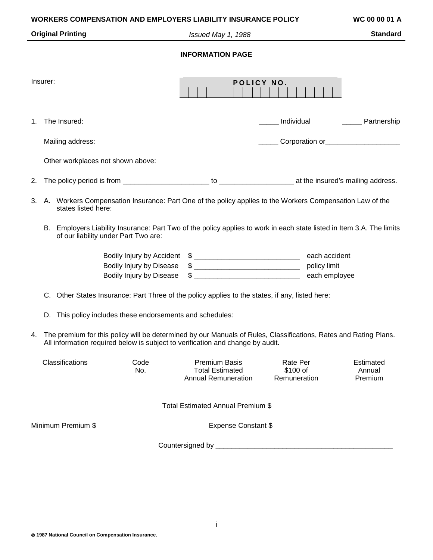| <b>WORKERS COMPENSATION AND EMPLOYERS LIABILITY INSURANCE POLICY</b><br>WC 00 00 01 A                                                                                                                    |                                                                                                                                                            |                                                                                                          |                                                                              |                                      |  |                                                             |  |
|----------------------------------------------------------------------------------------------------------------------------------------------------------------------------------------------------------|------------------------------------------------------------------------------------------------------------------------------------------------------------|----------------------------------------------------------------------------------------------------------|------------------------------------------------------------------------------|--------------------------------------|--|-------------------------------------------------------------|--|
| <b>Original Printing</b>                                                                                                                                                                                 |                                                                                                                                                            |                                                                                                          | Issued May 1, 1988                                                           |                                      |  | <b>Standard</b>                                             |  |
| <b>INFORMATION PAGE</b>                                                                                                                                                                                  |                                                                                                                                                            |                                                                                                          |                                                                              |                                      |  |                                                             |  |
|                                                                                                                                                                                                          |                                                                                                                                                            |                                                                                                          |                                                                              |                                      |  |                                                             |  |
| Insurer:                                                                                                                                                                                                 |                                                                                                                                                            |                                                                                                          | POLICY NO.                                                                   |                                      |  |                                                             |  |
| 1.                                                                                                                                                                                                       | The Insured:                                                                                                                                               |                                                                                                          |                                                                              | Individual                           |  | _______ Partnership                                         |  |
|                                                                                                                                                                                                          | Mailing address:                                                                                                                                           |                                                                                                          |                                                                              |                                      |  | Corporation or<br><u>Corporation</u> or <u> Corporation</u> |  |
|                                                                                                                                                                                                          |                                                                                                                                                            | Other workplaces not shown above:                                                                        |                                                                              |                                      |  |                                                             |  |
| 2.                                                                                                                                                                                                       |                                                                                                                                                            |                                                                                                          |                                                                              |                                      |  |                                                             |  |
| 3.                                                                                                                                                                                                       | states listed here:                                                                                                                                        | A. Workers Compensation Insurance: Part One of the policy applies to the Workers Compensation Law of the |                                                                              |                                      |  |                                                             |  |
| В.                                                                                                                                                                                                       | Employers Liability Insurance: Part Two of the policy applies to work in each state listed in Item 3.A. The limits<br>of our liability under Part Two are: |                                                                                                          |                                                                              |                                      |  |                                                             |  |
|                                                                                                                                                                                                          |                                                                                                                                                            |                                                                                                          |                                                                              |                                      |  |                                                             |  |
|                                                                                                                                                                                                          |                                                                                                                                                            | <b>Bodily Injury by Disease</b>                                                                          | $\frac{1}{2}$<br>policy limit                                                |                                      |  |                                                             |  |
|                                                                                                                                                                                                          |                                                                                                                                                            | Bodily Injury by Disease                                                                                 |                                                                              |                                      |  |                                                             |  |
| C.                                                                                                                                                                                                       | Other States Insurance: Part Three of the policy applies to the states, if any, listed here:                                                               |                                                                                                          |                                                                              |                                      |  |                                                             |  |
|                                                                                                                                                                                                          | D. This policy includes these endorsements and schedules:                                                                                                  |                                                                                                          |                                                                              |                                      |  |                                                             |  |
| The premium for this policy will be determined by our Manuals of Rules, Classifications, Rates and Rating Plans.<br>4.<br>All information required below is subject to verification and change by audit. |                                                                                                                                                            |                                                                                                          |                                                                              |                                      |  |                                                             |  |
|                                                                                                                                                                                                          | Classifications                                                                                                                                            | Code<br>No.                                                                                              | <b>Premium Basis</b><br><b>Total Estimated</b><br><b>Annual Remuneration</b> | Rate Per<br>\$100 of<br>Remuneration |  | Estimated<br>Annual<br>Premium                              |  |
| Total Estimated Annual Premium \$                                                                                                                                                                        |                                                                                                                                                            |                                                                                                          |                                                                              |                                      |  |                                                             |  |
|                                                                                                                                                                                                          | Minimum Premium \$                                                                                                                                         |                                                                                                          | <b>Expense Constant \$</b>                                                   |                                      |  |                                                             |  |
|                                                                                                                                                                                                          |                                                                                                                                                            |                                                                                                          |                                                                              |                                      |  |                                                             |  |
|                                                                                                                                                                                                          |                                                                                                                                                            |                                                                                                          |                                                                              |                                      |  |                                                             |  |
|                                                                                                                                                                                                          |                                                                                                                                                            |                                                                                                          |                                                                              |                                      |  |                                                             |  |